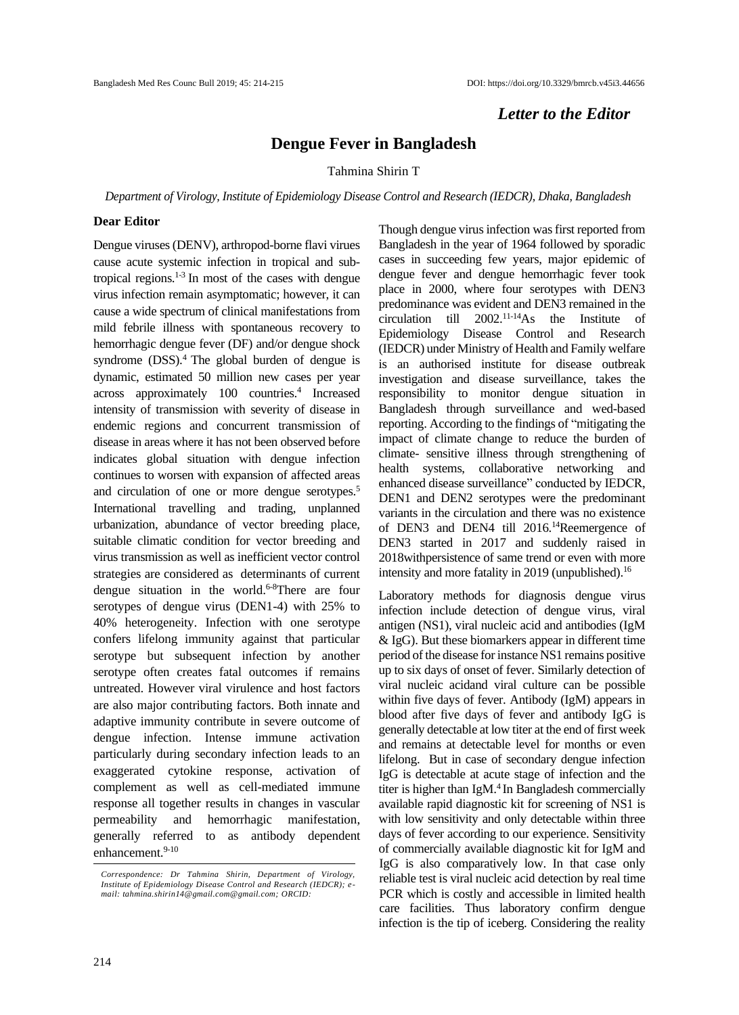## *Letter to the Editor*

## **Dengue Fever in Bangladesh**

Tahmina Shirin T

*Department of Virology, Institute of Epidemiology Disease Control and Research (IEDCR), Dhaka, Bangladesh*

## **Dear Editor**

Dengue viruses (DENV), arthropod-borne flavi virues cause acute systemic infection in tropical and subtropical regions.1-3 In most of the cases with dengue virus infection remain asymptomatic; however, it can cause a wide spectrum of clinical manifestations from mild febrile illness with spontaneous recovery to hemorrhagic dengue fever (DF) and/or dengue shock syndrome  $(DSS)$ .<sup>4</sup> The global burden of dengue is dynamic, estimated 50 million new cases per year across approximately 100 countries.<sup>4</sup> Increased intensity of transmission with severity of disease in endemic regions and concurrent transmission of disease in areas where it has not been observed before indicates global situation with dengue infection continues to worsen with expansion of affected areas and circulation of one or more dengue serotypes.<sup>5</sup> International travelling and trading, unplanned urbanization, abundance of vector breeding place, suitable climatic condition for vector breeding and virus transmission as well as inefficient vector control strategies are considered as determinants of current dengue situation in the world. 6-8There are four serotypes of dengue virus (DEN1-4) with 25% to 40% heterogeneity. Infection with one serotype confers lifelong immunity against that particular serotype but subsequent infection by another serotype often creates fatal outcomes if remains untreated. However viral virulence and host factors are also major contributing factors. Both innate and adaptive immunity contribute in severe outcome of dengue infection. Intense immune activation particularly during secondary infection leads to an exaggerated cytokine response, activation of complement as well as cell-mediated immune response all together results in changes in vascular permeability and hemorrhagic manifestation, generally referred to as antibody dependent enhancement. 9-10

Though dengue virus infection was first reported from Bangladesh in the year of 1964 followed by sporadic cases in succeeding few years, major epidemic of dengue fever and dengue hemorrhagic fever took place in 2000, where four serotypes with DEN3 predominance was evident and DEN3 remained in the circulation till 2002. 11-14As the Institute of Epidemiology Disease Control and Research (IEDCR) under Ministry of Health and Family welfare is an authorised institute for disease outbreak investigation and disease surveillance, takes the responsibility to monitor dengue situation in Bangladesh through surveillance and wed-based reporting. According to the findings of "mitigating the impact of climate change to reduce the burden of climate- sensitive illness through strengthening of health systems, collaborative networking and enhanced disease surveillance" conducted by IEDCR, DEN1 and DEN2 serotypes were the predominant variants in the circulation and there was no existence of DEN3 and DEN4 till 2016.<sup>14</sup>Reemergence of DEN3 started in 2017 and suddenly raised in 2018withpersistence of same trend or even with more intensity and more fatality in 2019 (unpublished). 16

Laboratory methods for diagnosis dengue virus infection include detection of dengue virus, viral antigen (NS1), viral nucleic acid and antibodies (IgM & IgG). But these biomarkers appear in different time period of the disease for instance NS1 remains positive up to six days of onset of fever. Similarly detection of viral nucleic acidand viral culture can be possible within five days of fever. Antibody (IgM) appears in blood after five days of fever and antibody IgG is generally detectable at low titer at the end of first week and remains at detectable level for months or even lifelong. But in case of secondary dengue infection IgG is detectable at acute stage of infection and the titer is higher than IgM. 4 In Bangladesh commercially available rapid diagnostic kit for screening of NS1 is with low sensitivity and only detectable within three days of fever according to our experience. Sensitivity of commercially available diagnostic kit for IgM and IgG is also comparatively low. In that case only reliable test is viral nucleic acid detection by real time PCR which is costly and accessible in limited health care facilities. Thus laboratory confirm dengue infection is the tip of iceberg. Considering the reality

*Correspondence: Dr Tahmina Shirin, Department of Virology, Institute of Epidemiology Disease Control and Research (IEDCR); email: tahmina.shirin14@gmail.com@gmail.com; ORCID:*